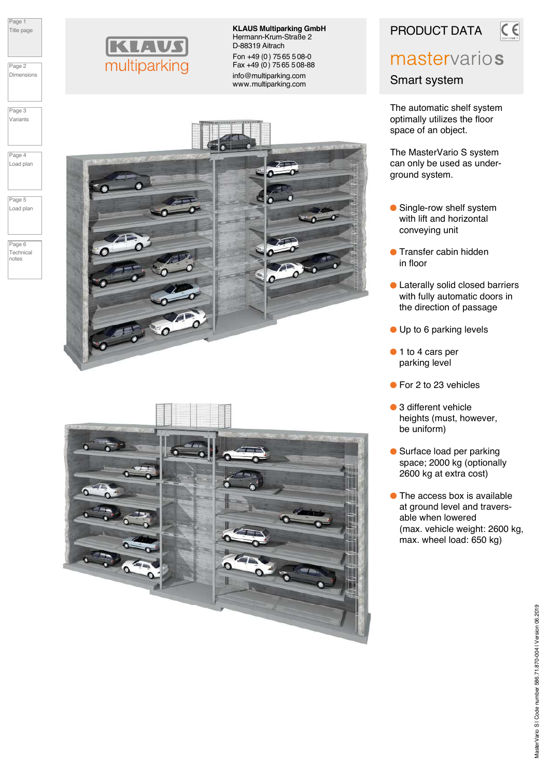Page 1 Title page

Page 2 Dimensions

Page 3 Variants

Page 4 Load plan

Page 5 Load plan

Page 6 Technical notes



**KLAVS** 

multiparking

KLAUS Multiparking GmbH Hermann-Krum-Straße 2 D-88319 Aitrach Fon +49 (0) 75 65 508-0 Fax +49 (0) 7565 508-88 info@multiparking.com www.multiparking.com



PRODUCT DATA

# mastervarios

 $C$ 

Smart system

The automatic shelf system optimally utilizes the floor space of an object.

The MasterVario S system can only be used as underground system.

- Single-row shelf system with lift and horizontal conveying unit
- **Transfer cabin hidden** in floor
- **C** Laterally solid closed barriers with fully automatic doors in the direction of passage
- Up to 6 parking levels
- 1 to 4 cars per parking level
- For 2 to 23 vehicles
- 3 different vehicle heights (must, however, be uniform)
- Surface load per parking space; 2000 kg (optionally 2600 kg at extra cost)
- **The access box is available**  at ground level and travers able when lowered (max. vehicle weight: 2600 kg, max. wheel load: 650 kg)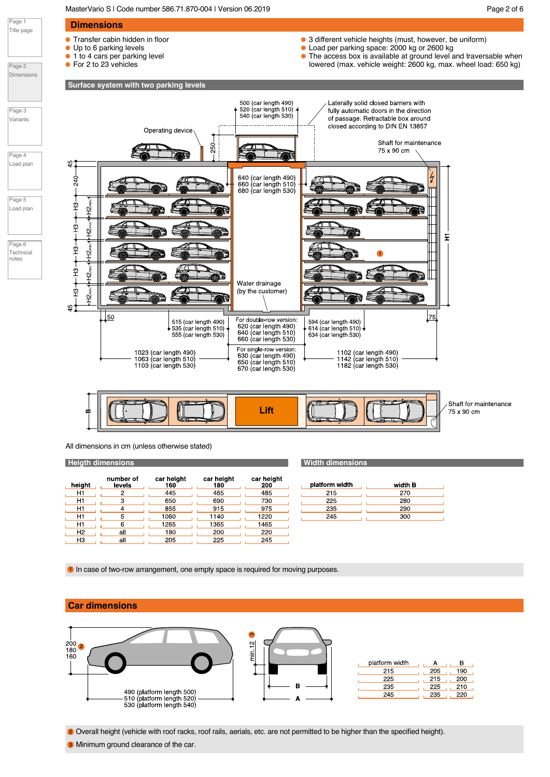MasterVario S | Code number 586.71.870-004 | Version 06.2019 | NasterVario S | Code number 586.71.870-004 | Version 06.2019 | Page 2 of 6

Page 1

Page 2

Page 3

Page 4

Page 5

Page 6

notes



All dimensions in cm (unless otherwise stated)

### **Heigth dimensions**

| height         | number of<br>levels | car height<br>160 | car height<br>180 | car height<br>200 |
|----------------|---------------------|-------------------|-------------------|-------------------|
| H1             |                     | 445               | 465               | 485               |
| H1             | з                   | 650               | 690               | 730               |
| H1             |                     | 855               | 915               | 975               |
| H1             | 5                   | 1060              | 1140              | 1220              |
| H1             |                     | 1265              | 1365              | 1465              |
| H <sub>2</sub> | all                 | 180               | 200               | 220               |
| HЗ             | all                 | 205               | 225               | 245               |

| Width dimensions |  |
|------------------|--|
|                  |  |
|                  |  |

| platform width | width B |
|----------------|---------|
| 215            | 270     |
| 225            | 280     |
| 235            | 290     |
| 245            | 300     |
|                |         |

**1** In case of two-row arrangement, one empty space is required for moving purposes.

### Car dimensions



2 Overall height (vehicle with roof racks, roof rails, aerials, etc. are not permitted to be higher than the specified height).

**3** Minimum ground clearance of the car.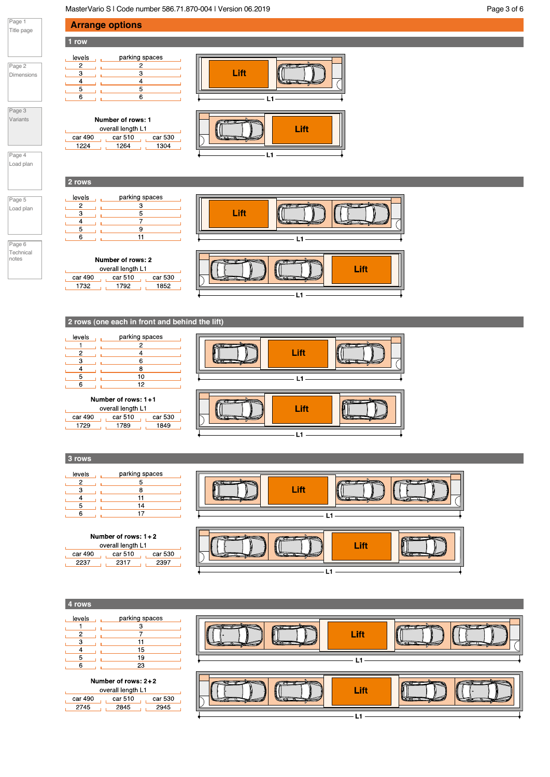MasterVario S | Code number 586.71.870-004 | Version 06.2019 **Page 3 of 6** Page 3 of 6

 $\overline{5}$ 

 $\overline{6}$ 

Number of rows: 1 overall length L1

car 490 car 510 car 530

 $\begin{array}{c|c|c|c|c|c} \hline \text{1264} & \text{1304} \end{array}$ 

parking spaces

 $\overline{3}$ 

 $\frac{5}{7}$ 

 $\frac{9}{11}$ 



 $\mathbf{u}$ 

2 rows

levels

 $\Box$ 

L.  $\overline{A}$  $\mathbf{I}$ 

 $\overline{2}$ 

 $\overline{\mathbf{3}}$ 

 $\overline{5}$ L. 6

 $1224$ 

 $\mathbf{L}$ 

 $\mathbb L$ 

 $\overline{5}$ لل المست

 $6$ 



Page 4 Load plan

### Page 5 Load plan

Page 6 Technical notes

| Number of rows: 2 |         |         |  |  |
|-------------------|---------|---------|--|--|
| overall length L1 |         |         |  |  |
| car 490           | car 510 | car 530 |  |  |
| 1732              | 1792    | 1852    |  |  |





### 2 rows (one each in front and behind the lift)

| levels | parking spaces |  |
|--------|----------------|--|
|        |                |  |
| 2      |                |  |
|        | ค              |  |
|        | я              |  |
|        | 10             |  |
|        | 12             |  |

### Number of rows: 1+1

| car 510<br>car 490<br>car 530 |
|-------------------------------|
|                               |



### 3 rows

| levels | parking spaces |  |
|--------|----------------|--|
|        |                |  |
|        | я              |  |
|        |                |  |
| 5      | 14             |  |
| հ      |                |  |

### Number of rows: 1+2

| overall length L1 |         |         |
|-------------------|---------|---------|
| car 490           | car 510 | car 530 |
|                   | 721 T   |         |

| Lift |      |  |
|------|------|--|
|      | Lift |  |

### 4 rows

| levels | parking spaces |  |
|--------|----------------|--|
|        |                |  |
|        |                |  |
| з      | 11             |  |
|        | 15             |  |
| 5      | 19             |  |
| F      | 23             |  |

### Number of rows: 2+2

| overall length L1 |         |         |
|-------------------|---------|---------|
| car 490           | car 510 | car 530 |
| 2745              | 2845    |         |

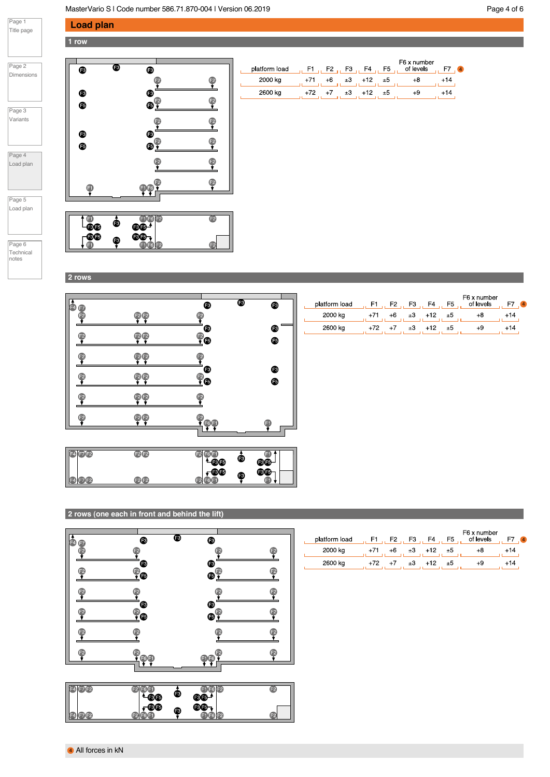### MasterVario S | Code number 586.71.870-004 | Version 06.2019 **Page 4 of 6** Page 4 of 6

F7 4

 $+14$ 

 $+14$ 

### Load plan 1 row



Page 1 Title page

| $n \circ n$<br>ρ,<br>э<br>÷ |  |
|-----------------------------|--|

Variants

Page 4 Load plan

Page 5 Load plan

Page 6 Technical notes



| platform load | - F1 | F2   |         | $F3$ . $F4$ . | F5 | ו ט גווטוווט כו<br>of levels |    |  |
|---------------|------|------|---------|---------------|----|------------------------------|----|--|
| 2000 kg       |      | +6   | $\pm 3$ | $+12$         | ±5 |                              | 14 |  |
| 2600 kg       | +72  | $+7$ |         | $+12$         | ±5 |                              | 14 |  |
|               |      |      |         |               |    |                              |    |  |

 $EQ$  v number

2 rows

| Œ4)<br>Œ7 |                               | ®                                    | ❸<br>$\bullet$          | platform load | , F1 , F2 , F3 , F4 , F5 , |      |    |       |    | F6 x number<br>of levels |
|-----------|-------------------------------|--------------------------------------|-------------------------|---------------|----------------------------|------|----|-------|----|--------------------------|
| F2        | <b>20</b>                     |                                      |                         | 2000 kg       | $+71$                      | $+6$ | ±3 | $+12$ | ±5 | $+8$                     |
| 62        |                               | €                                    | $\bullet$               | 2600 kg       | $+72$                      | $+7$ | ±3 | $+12$ | ±5 | $+9$                     |
|           | 90                            | $\bullet$                            | $\bullet$               |               |                            |      |    |       |    |                          |
| œ         | 20                            |                                      |                         |               |                            |      |    |       |    |                          |
| œ         | P                             | ◉<br>$\bullet$                       | ❸<br>$\bullet$          |               |                            |      |    |       |    |                          |
| Œ2        | E2E2                          |                                      |                         |               |                            |      |    |       |    |                          |
| Œ.        | <b>F2F2</b>                   | $\mathbf{P}_{\mathbf{G} \mathbf{D}}$ | G                       |               |                            |      |    |       |    |                          |
| 日のも       | F <sub>2</sub> F <sub>2</sub> | F2F6F1<br>486B                       | G<br>❸<br>$\circledast$ |               |                            |      |    |       |    |                          |
| 日田田       | F2F2                          | $\sqrt{30}$<br><b>F2 F6 F1</b>       | $\circledast$<br>❸<br>G |               |                            |      |    |       |    |                          |

### 2 rows (one each in front and behind the lift)

| a<br>F4<br>F7                                         | ❸                                   | ◉       | ❸                              |             |
|-------------------------------------------------------|-------------------------------------|---------|--------------------------------|-------------|
| F <sub>2</sub>                                        | F2                                  |         |                                | Ç           |
| F2                                                    | ◉<br>$\mathbb{P}_{\mathbf{\Theta}}$ |         | ❸<br>$\mathbf{e}^{\mathbf{e}}$ | ę           |
|                                                       |                                     |         |                                | ₽           |
|                                                       | To<br>Po                            |         | $\bullet$ $\bullet$            | ŗ           |
| F2                                                    |                                     |         | ę                              | P           |
|                                                       | $\frac{2}{100}$                     |         | $\bullet$                      | 3           |
| (F7)F2<br>$\blacksquare$                              | F2<br>F6                            |         | f1f6<br>F <sub>2</sub>         | $\bigoplus$ |
|                                                       | F3, F5<br>BÐ                        | ⊛<br>-3 | Bß<br>(BB                      |             |
| $\begin{bmatrix} 2 \end{bmatrix}$<br>F7F <sub>2</sub> | F2<br>$F6$ F1                       |         | 002                            | F2          |

| platform load | H1. | F2 | $F3$ . | F4  | F5   | F6 x number<br>of levels | $\overline{4}$ |
|---------------|-----|----|--------|-----|------|--------------------------|----------------|
| 2000 kg       |     |    | ±З     | +12 | ±5   |                          |                |
| 2600 kg       |     |    | ±З     | +12 | $+5$ | +9                       |                |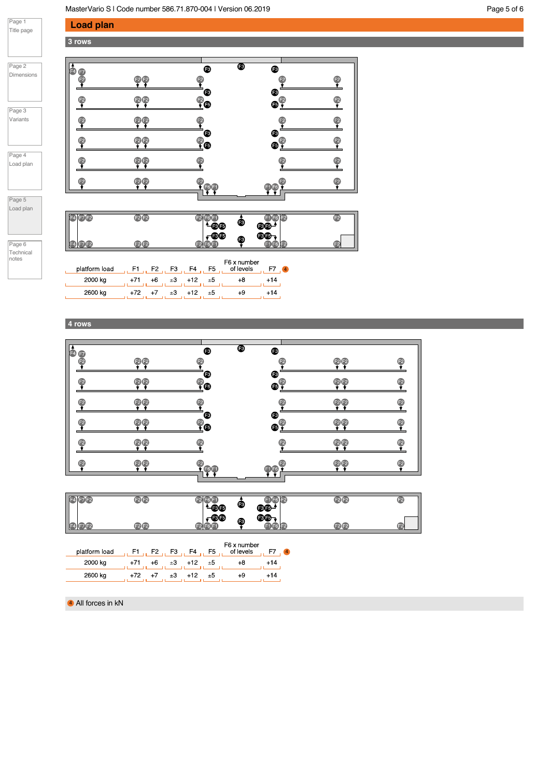## Load plan

Page 1 Title page

Page 2 Dimensions

Page 3 Variants

Page 4 Load plan

Page 5 Load plan

> Page 6 Technical notes

### 3 rows



| F7F2          | F2F2              | œđ             | ❸                        | 8G.                   | $\mathsf{F}2$ |
|---------------|-------------------|----------------|--------------------------|-----------------------|---------------|
|               | F2F2              | œ              | Œ                        | aa.                   | Đ             |
| platform load | $\mu$ F1 $\mu$ F2 | F4<br>F5<br>F3 | F6 x number<br>of levels | $\overline{4}$<br>. . |               |

| platform load | F2   | F3 | F4       | F <sub>5</sub> | of levels | $\overline{4}$ |
|---------------|------|----|----------|----------------|-----------|----------------|
| 2000 kg       |      |    | $±3 +12$ | ±5             |           |                |
| 2600 kg       | $+7$ | ±3 | $+12$    | ±5             |           |                |

4 rows

| þ<br>Œ         |                                | ❸                 | ❸<br>❸         |          |                |
|----------------|--------------------------------|-------------------|----------------|----------|----------------|
|                | F2<br>Œ2                       | F <sub>2</sub>    | F2             | F2<br>F2 | F <sub>2</sub> |
| F2             |                                | `®<br>F2<br>Ô     | ⊛<br>⊕         |          |                |
| F <sub>2</sub> | F <sub>2</sub><br>$\mathbf{E}$ | F2                | F <sub>2</sub> |          | F <sub>2</sub> |
| F2             |                                | ®<br>$\bullet$    | ⊛<br>F2<br>⊕   |          | F2             |
| FΣ             | $\mathsf{F}2$<br>F2            | F2                | ĒΣ             | 12<br>ΕŻ | E2             |
| F2             | F2<br>FΣ                       | ß.<br><b>EGET</b> | EG<br>F1F6     |          | F2             |

| $F=4$ $(F7)F2$ | <b>12B</b> | 9⊕∸             | ❸ | F6 F2<br>$\circledast$ | <b>12F2</b> | Œ |
|----------------|------------|-----------------|---|------------------------|-------------|---|
| <b>24 F2F2</b> | F2IF2      | $\mathbf{r}$ 33 | ⊛ | ⋒⋒⋼<br>a kaca          | P(E)        | G |

| platform load |     | F2 | F3 | F4 | F5      | F6 x number<br>of levels | $\overline{4}$ |
|---------------|-----|----|----|----|---------|--------------------------|----------------|
| 2000 kg       |     |    | ±З |    | $\pm 5$ |                          |                |
| 2600 kg       | +72 |    |    |    | ±Ь      |                          | +14            |

4 All forces in kN